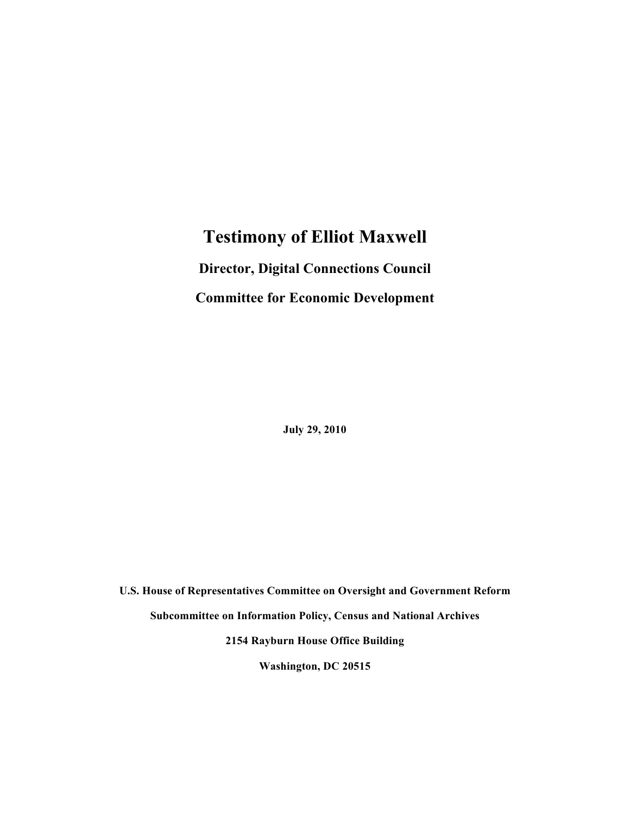# **Testimony of Elliot Maxwell**

# **Director, Digital Connections Council Committee for Economic Development**

**July 29, 2010**

**U.S. House of Representatives Committee on Oversight and Government Reform Subcommittee on Information Policy, Census and National Archives 2154 Rayburn House Office Building**

**Washington, DC 20515**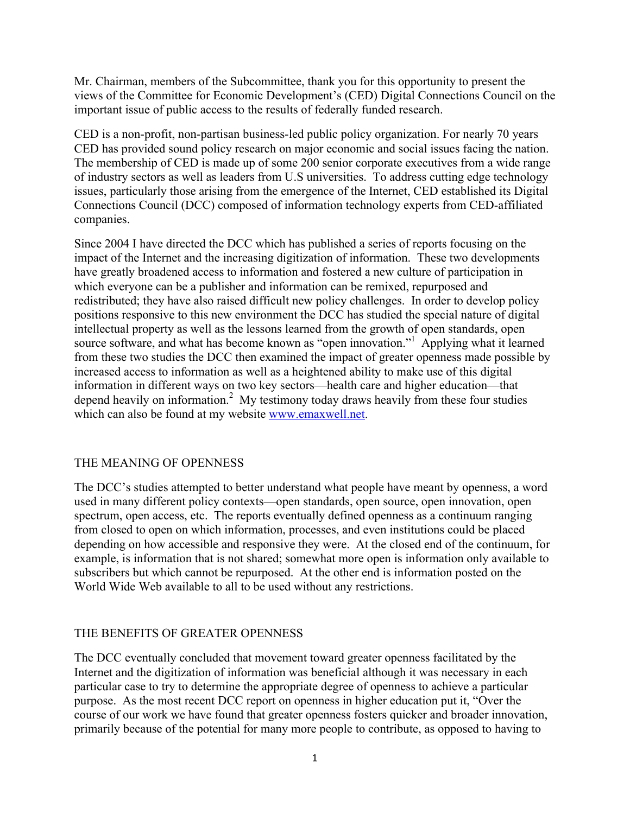Mr. Chairman, members of the Subcommittee, thank you for this opportunity to present the views of the Committee for Economic Development's (CED) Digital Connections Council on the important issue of public access to the results of federally funded research.

CED is a non-profit, non-partisan business-led public policy organization. For nearly 70 years CED has provided sound policy research on major economic and social issues facing the nation. The membership of CED is made up of some 200 senior corporate executives from a wide range of industry sectors as well as leaders from U.S universities. To address cutting edge technology issues, particularly those arising from the emergence of the Internet, CED established its Digital Connections Council (DCC) composed of information technology experts from CED-affiliated companies.

Since 2004 I have directed the DCC which has published a series of reports focusing on the impact of the Internet and the increasing digitization of information. These two developments have greatly broadened access to information and fostered a new culture of participation in which everyone can be a publisher and information can be remixed, repurposed and redistributed; they have also raised difficult new policy challenges. In order to develop policy positions responsive to this new environment the DCC has studied the special nature of digital intellectual property as well as the lessons learned from the growth of open standards, open source software, and what has become known as "open innovation."<sup>1</sup> Applying what it learned from these two studies the DCC then examined the impact of greater openness made possible by increased access to information as well as a heightened ability to make use of this digital information in different ways on two key sectors—health care and higher education—that depend heavily on information. <sup>2</sup> My testimony today draws heavily from these four studies which can also be found at my website www.emaxwell.net.

# THE MEANING OF OPENNESS

The DCC's studies attempted to better understand what people have meant by openness, a word used in many different policy contexts—open standards, open source, open innovation, open spectrum, open access, etc. The reports eventually defined openness as a continuum ranging from closed to open on which information, processes, and even institutions could be placed depending on how accessible and responsive they were. At the closed end of the continuum, for example, is information that is not shared; somewhat more open is information only available to subscribers but which cannot be repurposed. At the other end is information posted on the World Wide Web available to all to be used without any restrictions.

# THE BENEFITS OF GREATER OPENNESS

The DCC eventually concluded that movement toward greater openness facilitated by the Internet and the digitization of information was beneficial although it was necessary in each particular case to try to determine the appropriate degree of openness to achieve a particular purpose. As the most recent DCC report on openness in higher education put it, "Over the course of our work we have found that greater openness fosters quicker and broader innovation, primarily because of the potential for many more people to contribute, as opposed to having to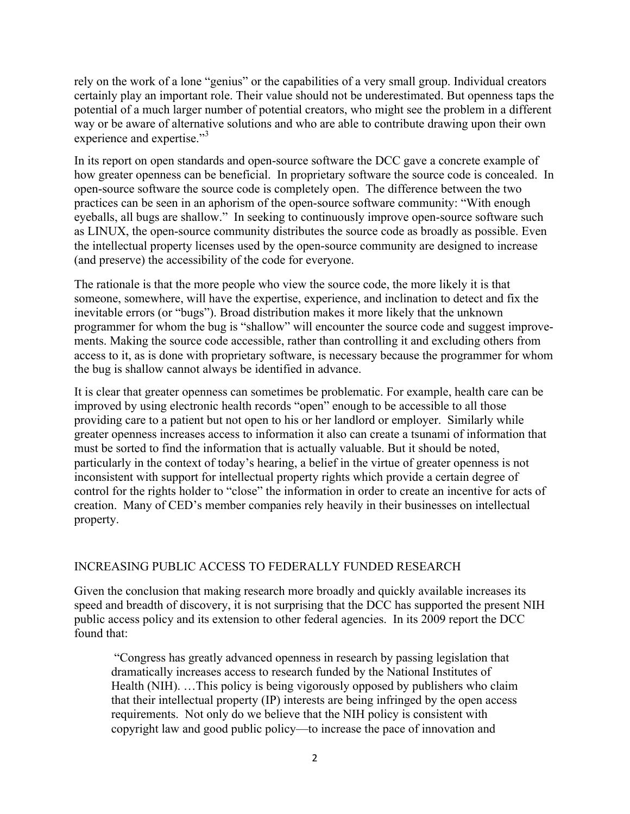rely on the work of a lone "genius" or the capabilities of a very small group. Individual creators certainly play an important role. Their value should not be underestimated. But openness taps the potential of a much larger number of potential creators, who might see the problem in a different way or be aware of alternative solutions and who are able to contribute drawing upon their own experience and expertise."<sup>3</sup>

In its report on open standards and open-source software the DCC gave a concrete example of how greater openness can be beneficial. In proprietary software the source code is concealed. In open-source software the source code is completely open. The difference between the two practices can be seen in an aphorism of the open-source software community: "With enough eyeballs, all bugs are shallow." In seeking to continuously improve open-source software such as LINUX, the open-source community distributes the source code as broadly as possible. Even the intellectual property licenses used by the open-source community are designed to increase (and preserve) the accessibility of the code for everyone.

The rationale is that the more people who view the source code, the more likely it is that someone, somewhere, will have the expertise, experience, and inclination to detect and fix the inevitable errors (or "bugs"). Broad distribution makes it more likely that the unknown programmer for whom the bug is "shallow" will encounter the source code and suggest improvements. Making the source code accessible, rather than controlling it and excluding others from access to it, as is done with proprietary software, is necessary because the programmer for whom the bug is shallow cannot always be identified in advance.

It is clear that greater openness can sometimes be problematic. For example, health care can be improved by using electronic health records "open" enough to be accessible to all those providing care to a patient but not open to his or her landlord or employer. Similarly while greater openness increases access to information it also can create a tsunami of information that must be sorted to find the information that is actually valuable. But it should be noted, particularly in the context of today's hearing, a belief in the virtue of greater openness is not inconsistent with support for intellectual property rights which provide a certain degree of control for the rights holder to "close" the information in order to create an incentive for acts of creation. Many of CED's member companies rely heavily in their businesses on intellectual property.

# INCREASING PUBLIC ACCESS TO FEDERALLY FUNDED RESEARCH

Given the conclusion that making research more broadly and quickly available increases its speed and breadth of discovery, it is not surprising that the DCC has supported the present NIH public access policy and its extension to other federal agencies. In its 2009 report the DCC found that:

 "Congress has greatly advanced openness in research by passing legislation that dramatically increases access to research funded by the National Institutes of Health (NIH). …This policy is being vigorously opposed by publishers who claim that their intellectual property (IP) interests are being infringed by the open access requirements. Not only do we believe that the NIH policy is consistent with copyright law and good public policy—to increase the pace of innovation and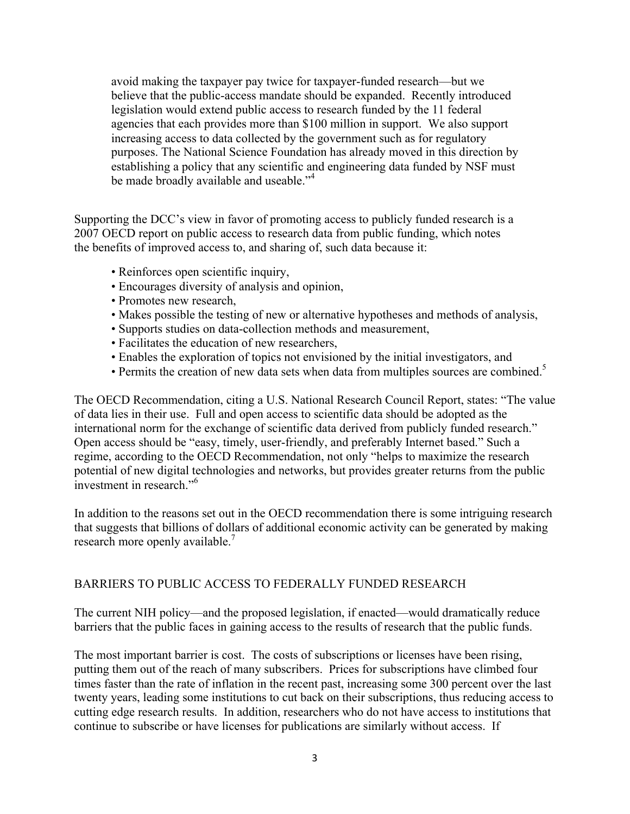avoid making the taxpayer pay twice for taxpayer-funded research—but we believe that the public-access mandate should be expanded. Recently introduced legislation would extend public access to research funded by the 11 federal agencies that each provides more than \$100 million in support. We also support increasing access to data collected by the government such as for regulatory purposes. The National Science Foundation has already moved in this direction by establishing a policy that any scientific and engineering data funded by NSF must be made broadly available and useable."<sup>4</sup>

Supporting the DCC's view in favor of promoting access to publicly funded research is a 2007 OECD report on public access to research data from public funding, which notes the benefits of improved access to, and sharing of, such data because it:

- Reinforces open scientific inquiry,
- Encourages diversity of analysis and opinion,
- Promotes new research,
- Makes possible the testing of new or alternative hypotheses and methods of analysis,
- Supports studies on data-collection methods and measurement,
- Facilitates the education of new researchers,
- Enables the exploration of topics not envisioned by the initial investigators, and
- Permits the creation of new data sets when data from multiples sources are combined.<sup>5</sup>

The OECD Recommendation, citing a U.S. National Research Council Report, states: "The value of data lies in their use. Full and open access to scientific data should be adopted as the international norm for the exchange of scientific data derived from publicly funded research." Open access should be "easy, timely, user-friendly, and preferably Internet based." Such a regime, according to the OECD Recommendation, not only "helps to maximize the research potential of new digital technologies and networks, but provides greater returns from the public investment in research."<sup>6</sup>

In addition to the reasons set out in the OECD recommendation there is some intriguing research that suggests that billions of dollars of additional economic activity can be generated by making research more openly available.<sup>7</sup>

#### BARRIERS TO PUBLIC ACCESS TO FEDERALLY FUNDED RESEARCH

The current NIH policy—and the proposed legislation, if enacted—would dramatically reduce barriers that the public faces in gaining access to the results of research that the public funds.

The most important barrier is cost. The costs of subscriptions or licenses have been rising, putting them out of the reach of many subscribers. Prices for subscriptions have climbed four times faster than the rate of inflation in the recent past, increasing some 300 percent over the last twenty years, leading some institutions to cut back on their subscriptions, thus reducing access to cutting edge research results. In addition, researchers who do not have access to institutions that continue to subscribe or have licenses for publications are similarly without access. If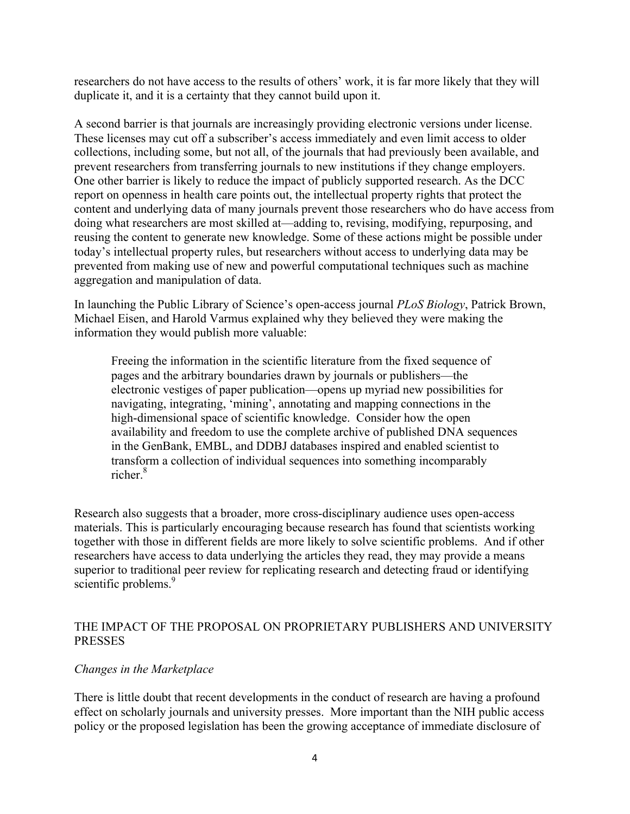researchers do not have access to the results of others' work, it is far more likely that they will duplicate it, and it is a certainty that they cannot build upon it.

A second barrier is that journals are increasingly providing electronic versions under license. These licenses may cut off a subscriber's access immediately and even limit access to older collections, including some, but not all, of the journals that had previously been available, and prevent researchers from transferring journals to new institutions if they change employers. One other barrier is likely to reduce the impact of publicly supported research. As the DCC report on openness in health care points out, the intellectual property rights that protect the content and underlying data of many journals prevent those researchers who do have access from doing what researchers are most skilled at—adding to, revising, modifying, repurposing, and reusing the content to generate new knowledge. Some of these actions might be possible under today's intellectual property rules, but researchers without access to underlying data may be prevented from making use of new and powerful computational techniques such as machine aggregation and manipulation of data.

In launching the Public Library of Science's open-access journal *PLoS Biology*, Patrick Brown, Michael Eisen, and Harold Varmus explained why they believed they were making the information they would publish more valuable:

Freeing the information in the scientific literature from the fixed sequence of pages and the arbitrary boundaries drawn by journals or publishers—the electronic vestiges of paper publication—opens up myriad new possibilities for navigating, integrating, 'mining', annotating and mapping connections in the high-dimensional space of scientific knowledge. Consider how the open availability and freedom to use the complete archive of published DNA sequences in the GenBank, EMBL, and DDBJ databases inspired and enabled scientist to transform a collection of individual sequences into something incomparably richer.<sup>8</sup>

Research also suggests that a broader, more cross-disciplinary audience uses open-access materials. This is particularly encouraging because research has found that scientists working together with those in different fields are more likely to solve scientific problems. And if other researchers have access to data underlying the articles they read, they may provide a means superior to traditional peer review for replicating research and detecting fraud or identifying scientific problems.<sup>9</sup>

# THE IMPACT OF THE PROPOSAL ON PROPRIETARY PUBLISHERS AND UNIVERSITY PRESSES

#### *Changes in the Marketplace*

There is little doubt that recent developments in the conduct of research are having a profound effect on scholarly journals and university presses. More important than the NIH public access policy or the proposed legislation has been the growing acceptance of immediate disclosure of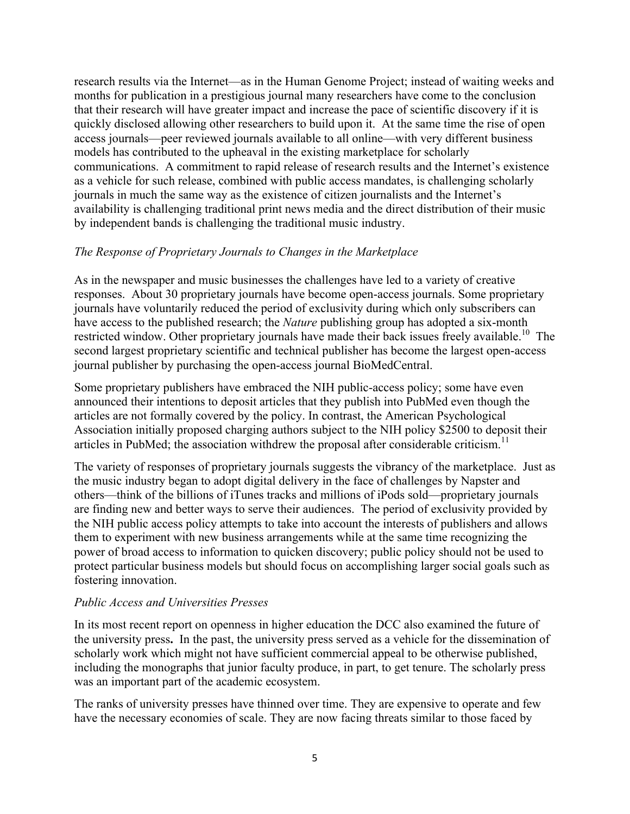research results via the Internet—as in the Human Genome Project; instead of waiting weeks and months for publication in a prestigious journal many researchers have come to the conclusion that their research will have greater impact and increase the pace of scientific discovery if it is quickly disclosed allowing other researchers to build upon it. At the same time the rise of open access journals—peer reviewed journals available to all online—with very different business models has contributed to the upheaval in the existing marketplace for scholarly communications. A commitment to rapid release of research results and the Internet's existence as a vehicle for such release, combined with public access mandates, is challenging scholarly journals in much the same way as the existence of citizen journalists and the Internet's availability is challenging traditional print news media and the direct distribution of their music by independent bands is challenging the traditional music industry.

# *The Response of Proprietary Journals to Changes in the Marketplace*

As in the newspaper and music businesses the challenges have led to a variety of creative responses. About 30 proprietary journals have become open-access journals. Some proprietary journals have voluntarily reduced the period of exclusivity during which only subscribers can have access to the published research; the *Nature* publishing group has adopted a six-month restricted window. Other proprietary journals have made their back issues freely available.<sup>10</sup> The second largest proprietary scientific and technical publisher has become the largest open-access journal publisher by purchasing the open-access journal BioMedCentral.

Some proprietary publishers have embraced the NIH public-access policy; some have even announced their intentions to deposit articles that they publish into PubMed even though the articles are not formally covered by the policy. In contrast, the American Psychological Association initially proposed charging authors subject to the NIH policy \$2500 to deposit their articles in PubMed; the association withdrew the proposal after considerable criticism.<sup>11</sup>

The variety of responses of proprietary journals suggests the vibrancy of the marketplace. Just as the music industry began to adopt digital delivery in the face of challenges by Napster and others—think of the billions of iTunes tracks and millions of iPods sold—proprietary journals are finding new and better ways to serve their audiences. The period of exclusivity provided by the NIH public access policy attempts to take into account the interests of publishers and allows them to experiment with new business arrangements while at the same time recognizing the power of broad access to information to quicken discovery; public policy should not be used to protect particular business models but should focus on accomplishing larger social goals such as fostering innovation.

#### *Public Access and Universities Presses*

In its most recent report on openness in higher education the DCC also examined the future of the university press**.** In the past, the university press served as a vehicle for the dissemination of scholarly work which might not have sufficient commercial appeal to be otherwise published, including the monographs that junior faculty produce, in part, to get tenure. The scholarly press was an important part of the academic ecosystem.

The ranks of university presses have thinned over time. They are expensive to operate and few have the necessary economies of scale. They are now facing threats similar to those faced by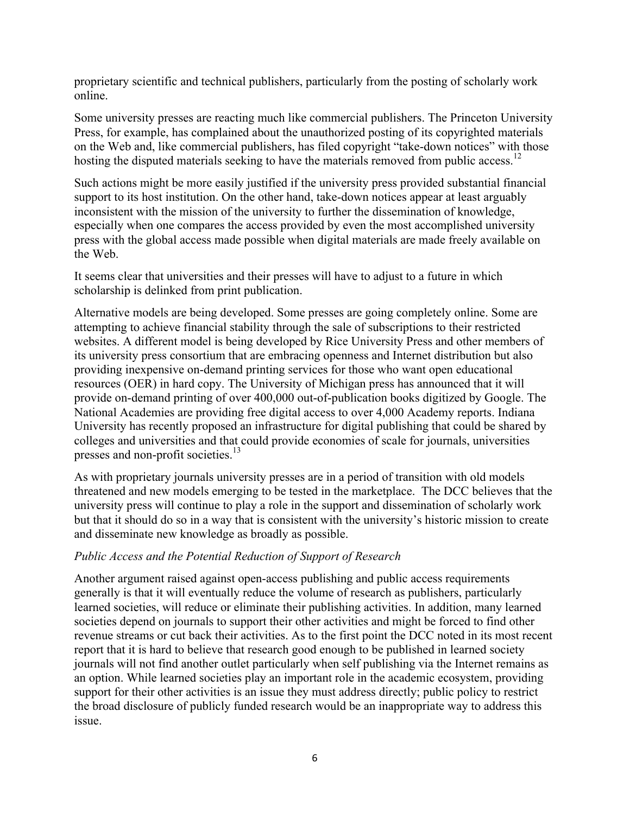proprietary scientific and technical publishers, particularly from the posting of scholarly work online.

Some university presses are reacting much like commercial publishers. The Princeton University Press, for example, has complained about the unauthorized posting of its copyrighted materials on the Web and, like commercial publishers, has filed copyright "take-down notices" with those hosting the disputed materials seeking to have the materials removed from public access.<sup>12</sup>

Such actions might be more easily justified if the university press provided substantial financial support to its host institution. On the other hand, take-down notices appear at least arguably inconsistent with the mission of the university to further the dissemination of knowledge, especially when one compares the access provided by even the most accomplished university press with the global access made possible when digital materials are made freely available on the Web.

It seems clear that universities and their presses will have to adjust to a future in which scholarship is delinked from print publication.

Alternative models are being developed. Some presses are going completely online. Some are attempting to achieve financial stability through the sale of subscriptions to their restricted websites. A different model is being developed by Rice University Press and other members of its university press consortium that are embracing openness and Internet distribution but also providing inexpensive on-demand printing services for those who want open educational resources (OER) in hard copy. The University of Michigan press has announced that it will provide on-demand printing of over 400,000 out-of-publication books digitized by Google. The National Academies are providing free digital access to over 4,000 Academy reports. Indiana University has recently proposed an infrastructure for digital publishing that could be shared by colleges and universities and that could provide economies of scale for journals, universities presses and non-profit societies.<sup>13</sup>

As with proprietary journals university presses are in a period of transition with old models threatened and new models emerging to be tested in the marketplace. The DCC believes that the university press will continue to play a role in the support and dissemination of scholarly work but that it should do so in a way that is consistent with the university's historic mission to create and disseminate new knowledge as broadly as possible.

#### *Public Access and the Potential Reduction of Support of Research*

Another argument raised against open-access publishing and public access requirements generally is that it will eventually reduce the volume of research as publishers, particularly learned societies, will reduce or eliminate their publishing activities. In addition, many learned societies depend on journals to support their other activities and might be forced to find other revenue streams or cut back their activities. As to the first point the DCC noted in its most recent report that it is hard to believe that research good enough to be published in learned society journals will not find another outlet particularly when self publishing via the Internet remains as an option. While learned societies play an important role in the academic ecosystem, providing support for their other activities is an issue they must address directly; public policy to restrict the broad disclosure of publicly funded research would be an inappropriate way to address this issue.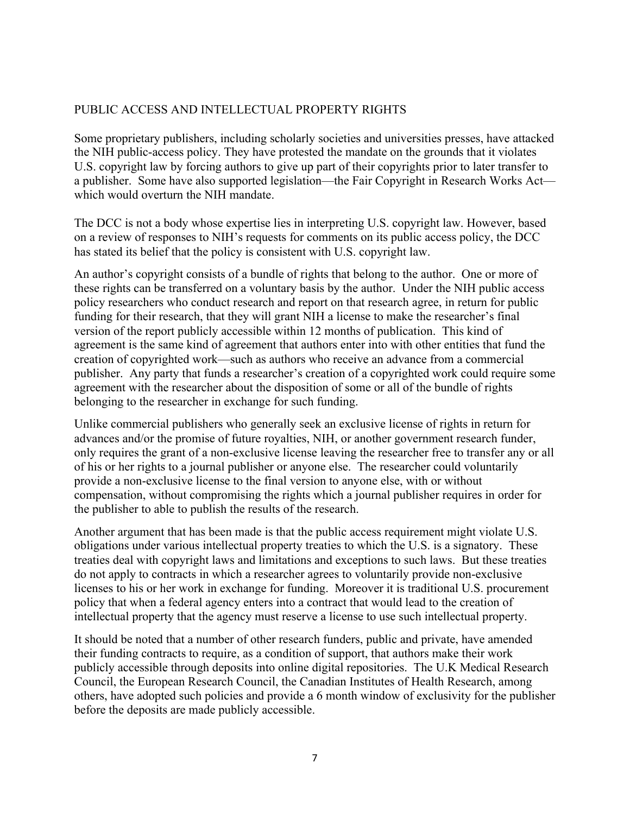# PUBLIC ACCESS AND INTELLECTUAL PROPERTY RIGHTS

Some proprietary publishers, including scholarly societies and universities presses, have attacked the NIH public-access policy. They have protested the mandate on the grounds that it violates U.S. copyright law by forcing authors to give up part of their copyrights prior to later transfer to a publisher. Some have also supported legislation—the Fair Copyright in Research Works Act which would overturn the NIH mandate.

The DCC is not a body whose expertise lies in interpreting U.S. copyright law. However, based on a review of responses to NIH's requests for comments on its public access policy, the DCC has stated its belief that the policy is consistent with U.S. copyright law.

An author's copyright consists of a bundle of rights that belong to the author. One or more of these rights can be transferred on a voluntary basis by the author. Under the NIH public access policy researchers who conduct research and report on that research agree, in return for public funding for their research, that they will grant NIH a license to make the researcher's final version of the report publicly accessible within 12 months of publication. This kind of agreement is the same kind of agreement that authors enter into with other entities that fund the creation of copyrighted work—such as authors who receive an advance from a commercial publisher. Any party that funds a researcher's creation of a copyrighted work could require some agreement with the researcher about the disposition of some or all of the bundle of rights belonging to the researcher in exchange for such funding.

Unlike commercial publishers who generally seek an exclusive license of rights in return for advances and/or the promise of future royalties, NIH, or another government research funder, only requires the grant of a non-exclusive license leaving the researcher free to transfer any or all of his or her rights to a journal publisher or anyone else. The researcher could voluntarily provide a non-exclusive license to the final version to anyone else, with or without compensation, without compromising the rights which a journal publisher requires in order for the publisher to able to publish the results of the research.

Another argument that has been made is that the public access requirement might violate U.S. obligations under various intellectual property treaties to which the U.S. is a signatory. These treaties deal with copyright laws and limitations and exceptions to such laws. But these treaties do not apply to contracts in which a researcher agrees to voluntarily provide non-exclusive licenses to his or her work in exchange for funding. Moreover it is traditional U.S. procurement policy that when a federal agency enters into a contract that would lead to the creation of intellectual property that the agency must reserve a license to use such intellectual property.

It should be noted that a number of other research funders, public and private, have amended their funding contracts to require, as a condition of support, that authors make their work publicly accessible through deposits into online digital repositories. The U.K Medical Research Council, the European Research Council, the Canadian Institutes of Health Research, among others, have adopted such policies and provide a 6 month window of exclusivity for the publisher before the deposits are made publicly accessible.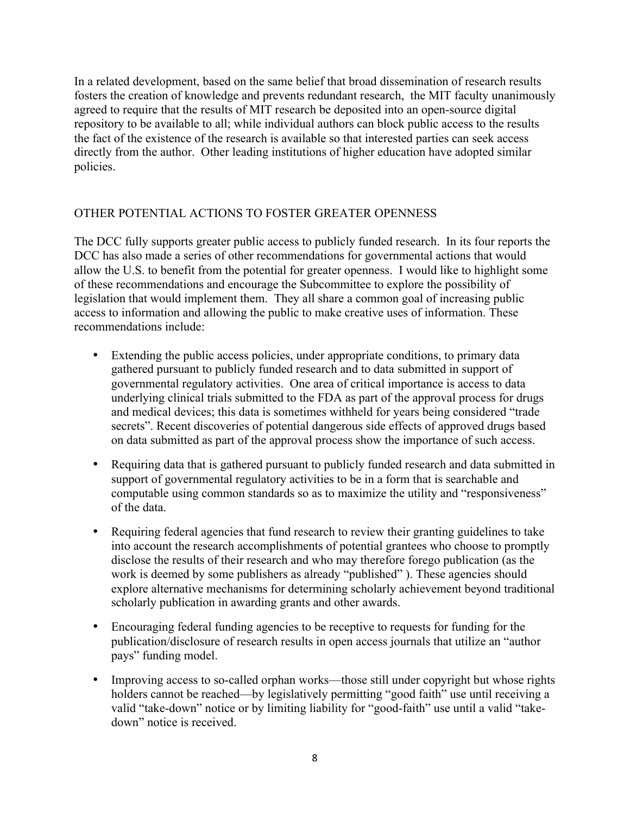In a related development, based on the same belief that broad dissemination of research results fosters the creation of knowledge and prevents redundant research, the MIT faculty unanimously agreed to require that the results of MIT research be deposited into an open-source digital repository to be available to all; while individual authors can block public access to the results the fact of the existence of the research is available so that interested parties can seek access directly from the author. Other leading institutions of higher education have adopted similar policies.

# OTHER POTENTIAL ACTIONS TO FOSTER GREATER OPENNESS

The DCC fully supports greater public access to publicly funded research. In its four reports the DCC has also made a series of other recommendations for governmental actions that would allow the U.S. to benefit from the potential for greater openness. I would like to highlight some of these recommendations and encourage the Subcommittee to explore the possibility of legislation that would implement them. They all share a common goal of increasing public access to information and allowing the public to make creative uses of information. These recommendations include:

- Extending the public access policies, under appropriate conditions, to primary data gathered pursuant to publicly funded research and to data submitted in support of governmental regulatory activities. One area of critical importance is access to data underlying clinical trials submitted to the FDA as part of the approval process for drugs and medical devices; this data is sometimes withheld for years being considered "trade secrets". Recent discoveries of potential dangerous side effects of approved drugs based on data submitted as part of the approval process show the importance of such access.
- Requiring data that is gathered pursuant to publicly funded research and data submitted in support of governmental regulatory activities to be in a form that is searchable and computable using common standards so as to maximize the utility and "responsiveness" of the data.
- Requiring federal agencies that fund research to review their granting guidelines to take into account the research accomplishments of potential grantees who choose to promptly disclose the results of their research and who may therefore forego publication (as the work is deemed by some publishers as already "published" ). These agencies should explore alternative mechanisms for determining scholarly achievement beyond traditional scholarly publication in awarding grants and other awards.
- Encouraging federal funding agencies to be receptive to requests for funding for the publication/disclosure of research results in open access journals that utilize an "author pays" funding model.
- Improving access to so-called orphan works—those still under copyright but whose rights holders cannot be reached—by legislatively permitting "good faith" use until receiving a valid "take-down" notice or by limiting liability for "good-faith" use until a valid "takedown" notice is received.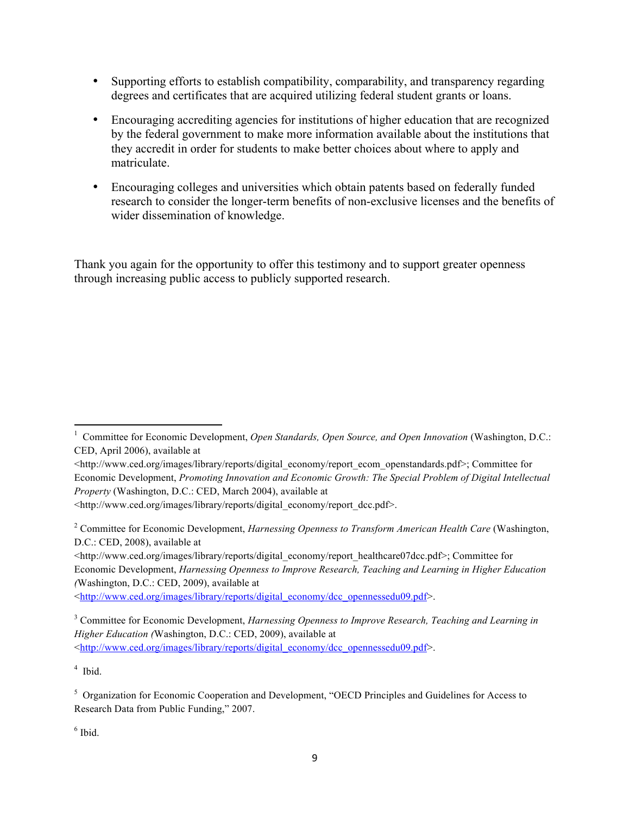- Supporting efforts to establish compatibility, comparability, and transparency regarding degrees and certificates that are acquired utilizing federal student grants or loans.
- Encouraging accrediting agencies for institutions of higher education that are recognized by the federal government to make more information available about the institutions that they accredit in order for students to make better choices about where to apply and matriculate.
- Encouraging colleges and universities which obtain patents based on federally funded research to consider the longer-term benefits of non-exclusive licenses and the benefits of wider dissemination of knowledge.

Thank you again for the opportunity to offer this testimony and to support greater openness through increasing public access to publicly supported research.

<http://www.ced.org/images/library/reports/digital\_economy/report\_dcc.pdf>.

!!!!!!!!!!!!!!!!!!!!!!!!!!!!!!!!!!!!!!!!!!!!!!!!!!!!!!!!!!!!

4 Ibid.

 $<sup>6</sup>$  Ibid.</sup>

<sup>&</sup>lt;sup>1</sup> Committee for Economic Development, *Open Standards, Open Source, and Open Innovation* (Washington, D.C.: CED, April 2006), available at

<sup>&</sup>lt;http://www.ced.org/images/library/reports/digital\_economy/report\_ecom\_openstandards.pdf>; Committee for Economic Development, *Promoting Innovation and Economic Growth: The Special Problem of Digital Intellectual Property* (Washington, D.C.: CED, March 2004), available at

<sup>&</sup>lt;sup>2</sup> Committee for Economic Development, *Harnessing Openness to Transform American Health Care* (Washington, D.C.: CED, 2008), available at

<sup>&</sup>lt;http://www.ced.org/images/library/reports/digital\_economy/report\_healthcare07dcc.pdf>; Committee for Economic Development, *Harnessing Openness to Improve Research, Teaching and Learning in Higher Education (*Washington, D.C.: CED, 2009), available at

<sup>&</sup>lt;http://www.ced.org/images/library/reports/digital\_economy/dcc\_opennessedu09.pdf>.

<sup>3</sup> Committee for Economic Development, *Harnessing Openness to Improve Research, Teaching and Learning in Higher Education (*Washington, D.C.: CED, 2009), available at <http://www.ced.org/images/library/reports/digital\_economy/dcc\_opennessedu09.pdf>.

<sup>&</sup>lt;sup>5</sup> Organization for Economic Cooperation and Development, "OECD Principles and Guidelines for Access to Research Data from Public Funding," 2007.